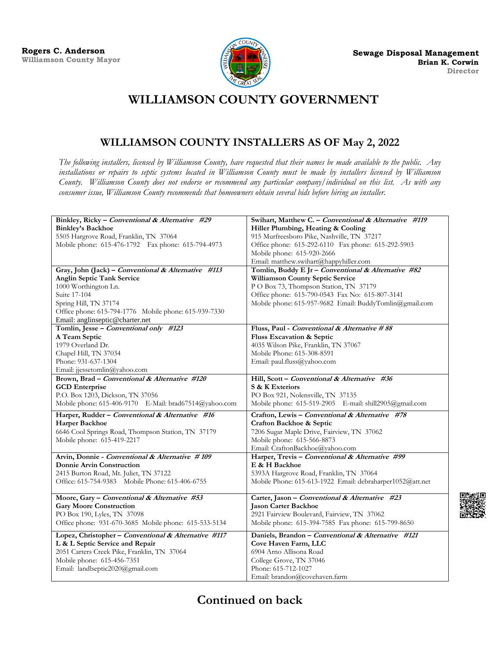

## **WILLIAMSON COUNTY GOVERNMENT**

## **WILLIAMSON COUNTY INSTALLERS AS OF May 2, 2022**

*The following installers, licensed by Williamson County, have requested that their names be made available to the public. Any installations or repairs to septic systems located in Williamson County must be made by installers licensed by Williamson County. Williamson County does not endorse or recommend any particular company/individual on this list. As with any consumer issue, Williamson County recommends that homeowners obtain several bids before hiring an installer.*

| Binkley, Ricky - Conventional & Alternative #29                                           | Swihart, Matthew C. - Conventional & Alternative #119            |
|-------------------------------------------------------------------------------------------|------------------------------------------------------------------|
| <b>Binkley's Backhoe</b>                                                                  | Hiller Plumbing, Heating & Cooling                               |
| 5505 Hargrove Road, Franklin, TN 37064                                                    | 915 Murfreesboro Pike, Nashville, TN 37217                       |
| Mobile phone: 615-476-1792  Fax phone: 615-794-4973                                       | Office phone: 615-292-6110 Fax phone: 615-292-5903               |
|                                                                                           | Mobile phone: 615-920-2666                                       |
|                                                                                           | Email: matthew.swihart@happyhiller.com                           |
| Gray, John (Jack) - Conventional & Alternative #113                                       | Tomlin, Buddy E Jr - Conventional & Alternative #82              |
| <b>Anglin Septic Tank Service</b>                                                         | Williamson County Septic Service                                 |
| 1000 Worthington Ln.                                                                      | P O Box 73, Thompson Station, TN 37179                           |
| Suite 17-104                                                                              | Office phone: 615-790-0543 Fax No: 615-807-3141                  |
| Spring Hill, TN 37174                                                                     | Mobile phone: 615-957-9682 Email: BuddyTomlin@gmail.com          |
| Office phone: 615-794-1776 Mobile phone: 615-939-7330                                     |                                                                  |
| Email: anglinseptic@charter.net                                                           |                                                                  |
| Tomlin, Jesse - Conventional only #123                                                    | Fluss, Paul - Conventional & Alternative #88                     |
| A Team Septic                                                                             | Fluss Excavation & Septic                                        |
| 1979 Overland Dr.                                                                         | 4035 Wilson Pike, Franklin, TN 37067                             |
| Chapel Hill, TN 37034                                                                     | Mobile Phone: 615-308-8591                                       |
| Phone: 931-637-1304                                                                       | Email: paul.fluss@yahoo.com                                      |
| Email: jjessetomlin@yahoo.com                                                             |                                                                  |
| Brown, Brad - Conventional & Alternative #120                                             | Hill, Scott - Conventional & Alternative #36                     |
| <b>GCD</b> Enterprise                                                                     | S & K Exteriors                                                  |
| P.O. Box 1203, Dickson, TN 37056                                                          | PO Box 921, Nolensville, TN 37135                                |
| Mobile phone: 615-406-9170 E-Mail: brad67514@yahoo.com                                    | Mobile phone: 615-519-2905 E-mail: shill2905@gmail.com           |
| Harper, Rudder - Conventional & Alternative #16                                           | Crafton, Lewis - Conventional & Alternative #78                  |
| Harper Backhoe                                                                            | Crafton Backhoe & Septic                                         |
| 6646 Cool Springs Road, Thompson Station, TN 37179                                        | 7206 Sugar Maple Drive, Fairview, TN 37062                       |
|                                                                                           |                                                                  |
| Mobile phone: 615-419-2217                                                                | Mobile phone: 615-566-8873                                       |
|                                                                                           | Email: CraftonBackhoe@yahoo.com                                  |
|                                                                                           |                                                                  |
| Arvin, Donnie - Conventional & Alternative #109<br><b>Donnie Arvin Construction</b>       | Harper, Trevis - Conventional & Alternative #99<br>E & H Backhoe |
|                                                                                           | 5393A Hargrove Road, Franklin, TN 37064                          |
| 2415 Burton Road, Mt. Juliet, TN 37122<br>Office: 615-754-9383 Mobile Phone: 615-406-6755 | Mobile Phone: 615-613-1922 Email: debraharper1052@att.net        |
|                                                                                           |                                                                  |
| Moore, Gary - Conventional & Alternative #53                                              | Carter, Jason - Conventional & Alternative #23                   |
| <b>Gary Moore Construction</b>                                                            | <b>Jason Carter Backhoe</b>                                      |
| PO Box 190, Lyles, TN 37098                                                               | 2921 Fairview Boulevard, Fairview, TN 37062                      |
| Office phone: 931-670-3685 Mobile phone: 615-533-5134                                     | Mobile phone: 615-394-7585 Fax phone: 615-799-8650               |
|                                                                                           | Daniels, Brandon - Conventional & Alternative #121               |
| Lopez, Christopher - Conventional & Alternative #117                                      | Cove Haven Farm, LLC                                             |
| L & L Septic Service and Repair                                                           |                                                                  |
| 2051 Carters Creek Pike, Franklin, TN 37064                                               | 6904 Arno Allisona Road                                          |
| Mobile phone: 615-456-7351<br>Email: landlseptic2020@gmail.com                            | College Grove, TN 37046<br>Phone: 615-712-1027                   |